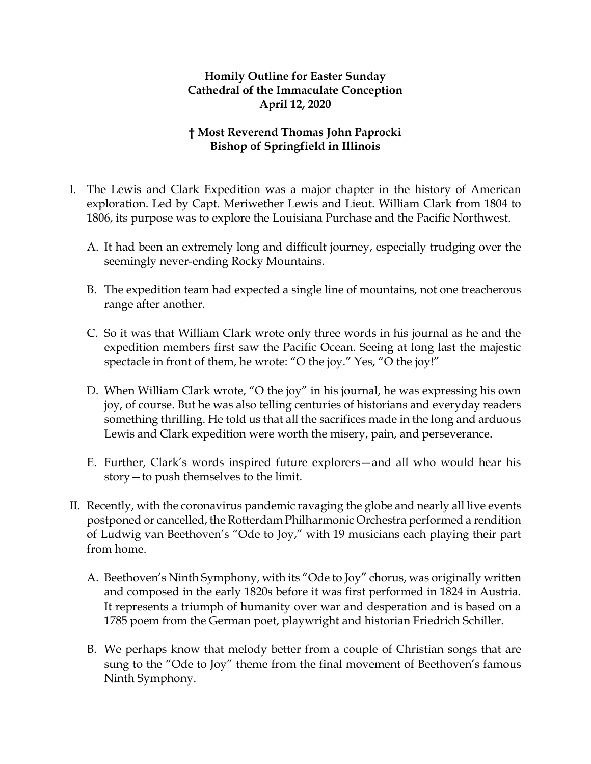## **Homily Outline for Easter Sunday Cathedral of the Immaculate Conception April 12, 2020**

## **† Most Reverend Thomas John Paprocki Bishop of Springfield in Illinois**

- I. The Lewis and Clark Expedition was a major chapter in the history of American exploration. Led by Capt. Meriwether Lewis and Lieut. William Clark from 1804 to 1806, its purpose was to explore the Louisiana Purchase and the Pacific Northwest.
	- A. It had been an extremely long and difficult journey, especially trudging over the seemingly never-ending Rocky Mountains.
	- B. The expedition team had expected a single line of mountains, not one treacherous range after another.
	- C. So it was that William Clark wrote only three words in his journal as he and the expedition members first saw the Pacific Ocean. Seeing at long last the majestic spectacle in front of them, he wrote: "O the joy." Yes, "O the joy!"
	- D. When William Clark wrote, "O the joy" in his journal, he was expressing his own joy, of course. But he was also telling centuries of historians and everyday readers something thrilling. He told us that all the sacrifices made in the long and arduous Lewis and Clark expedition were worth the misery, pain, and perseverance.
	- E. Further, Clark's words inspired future explorers—and all who would hear his story—to push themselves to the limit.
- II. Recently, with the coronavirus pandemic ravaging the globe and nearly all live events postponed or cancelled, the Rotterdam Philharmonic Orchestra performed a rendition of Ludwig van Beethoven's "Ode to Joy," with 19 musicians each playing their part from home.
	- A. Beethoven's Ninth Symphony, with its "Ode to Joy" chorus, was originally written and composed in the early 1820s before it was first performed in 1824 in Austria. It represents a triumph of humanity over war and desperation and is based on a 1785 poem from the German poet, playwright and historian Friedrich Schiller.
	- B. We perhaps know that melody better from a couple of Christian songs that are sung to the "Ode to Joy" theme from the final movement of Beethoven's famous Ninth Symphony.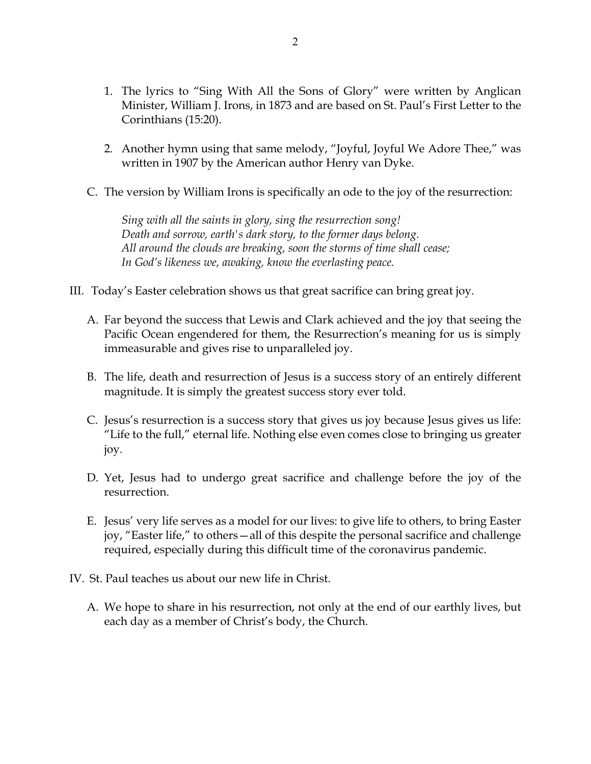- 1. The lyrics to "Sing With All the Sons of Glory" were written by Anglican Minister, William J. Irons, in 1873 and are based on St. Paul's First Letter to the Corinthians (15:20).
- 2. Another hymn using that same melody, "Joyful, Joyful We Adore Thee," was written in 1907 by the American author Henry van Dyke.
- C. The version by William Irons is specifically an ode to the joy of the resurrection:

*Sing with all the saints in glory, sing the resurrection song! Death and sorrow, earth's dark story, to the former days belong. All around the clouds are breaking, soon the storms of time shall cease; In God's likeness we, awaking, know the everlasting peace.*

- III. Today's Easter celebration shows us that great sacrifice can bring great joy.
	- A. Far beyond the success that Lewis and Clark achieved and the joy that seeing the Pacific Ocean engendered for them, the Resurrection's meaning for us is simply immeasurable and gives rise to unparalleled joy.
	- B. The life, death and resurrection of Jesus is a success story of an entirely different magnitude. It is simply the greatest success story ever told.
	- C. Jesus's resurrection is a success story that gives us joy because Jesus gives us life: "Life to the full," eternal life. Nothing else even comes close to bringing us greater joy.
	- D. Yet, Jesus had to undergo great sacrifice and challenge before the joy of the resurrection.
	- E. Jesus' very life serves as a model for our lives: to give life to others, to bring Easter joy, "Easter life," to others—all of this despite the personal sacrifice and challenge required, especially during this difficult time of the coronavirus pandemic.
- IV. St. Paul teaches us about our new life in Christ.
	- A. We hope to share in his resurrection, not only at the end of our earthly lives, but each day as a member of Christ's body, the Church.